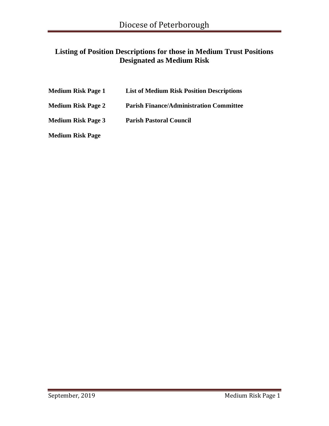# **Listing of Position Descriptions for those in Medium Trust Positions Designated as Medium Risk**

| Medium Risk Page 1        | <b>List of Medium Risk Position Descriptions</b> |
|---------------------------|--------------------------------------------------|
| Medium Risk Page 2        | <b>Parish Finance/Administration Committee</b>   |
| <b>Medium Risk Page 3</b> | <b>Parish Pastoral Council</b>                   |
|                           |                                                  |

**Medium Risk Page**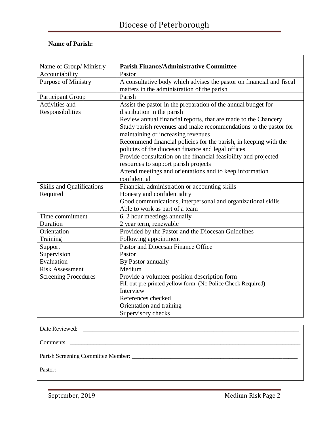# Diocese of Peterborough

### **Name of Parish:**

| Name of Group/ Ministry          | <b>Parish Finance/Administrative Committee</b>                       |
|----------------------------------|----------------------------------------------------------------------|
| Accountability                   | Pastor                                                               |
| <b>Purpose of Ministry</b>       | A consultative body which advises the pastor on financial and fiscal |
|                                  | matters in the administration of the parish                          |
| Participant Group                | Parish                                                               |
| Activities and                   | Assist the pastor in the preparation of the annual budget for        |
| Responsibilities                 | distribution in the parish                                           |
|                                  | Review annual financial reports, that are made to the Chancery       |
|                                  | Study parish revenues and make recommendations to the pastor for     |
|                                  | maintaining or increasing revenues                                   |
|                                  | Recommend financial policies for the parish, in keeping with the     |
|                                  | policies of the diocesan finance and legal offices                   |
|                                  | Provide consultation on the financial feasibility and projected      |
|                                  | resources to support parish projects                                 |
|                                  | Attend meetings and orientations and to keep information             |
|                                  | confidential                                                         |
| <b>Skills and Qualifications</b> | Financial, administration or accounting skills                       |
| Required                         | Honesty and confidentiality                                          |
|                                  | Good communications, interpersonal and organizational skills         |
|                                  | Able to work as part of a team                                       |
| Time commitment                  | 6, 2 hour meetings annually                                          |
| Duration                         | 2 year term, renewable                                               |
| Orientation                      | Provided by the Pastor and the Diocesan Guidelines                   |
| Training                         | Following appointment                                                |
| Support                          | Pastor and Diocesan Finance Office                                   |
| Supervision                      | Pastor                                                               |
| Evaluation                       | By Pastor annually                                                   |
| <b>Risk Assessment</b>           | Medium                                                               |
| <b>Screening Procedures</b>      | Provide a volunteer position description form                        |
|                                  | Fill out pre-printed yellow form (No Police Check Required)          |
|                                  | Interview                                                            |
|                                  | References checked                                                   |
|                                  | Orientation and training                                             |
|                                  | Supervisory checks                                                   |

| Pastor: |
|---------|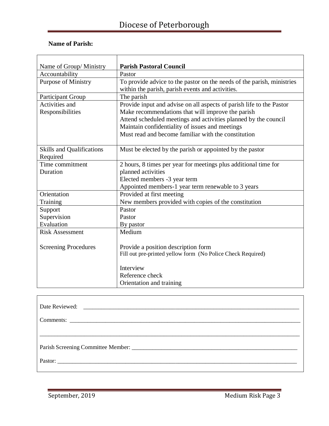## **Name of Parish:**

| Name of Group/ Ministry          | <b>Parish Pastoral Council</b>                                         |
|----------------------------------|------------------------------------------------------------------------|
| Accountability                   | Pastor                                                                 |
| <b>Purpose of Ministry</b>       | To provide advice to the pastor on the needs of the parish, ministries |
|                                  | within the parish, parish events and activities.                       |
| <b>Participant Group</b>         | The parish                                                             |
| Activities and                   | Provide input and advise on all aspects of parish life to the Pastor   |
| Responsibilities                 | Make recommendations that will improve the parish                      |
|                                  | Attend scheduled meetings and activities planned by the council        |
|                                  | Maintain confidentiality of issues and meetings                        |
|                                  | Must read and become familiar with the constitution                    |
|                                  |                                                                        |
| <b>Skills and Qualifications</b> | Must be elected by the parish or appointed by the pastor               |
| Required                         |                                                                        |
| Time commitment                  | 2 hours, 8 times per year for meetings plus additional time for        |
| Duration                         | planned activities                                                     |
|                                  | Elected members -3 year term                                           |
|                                  | Appointed members-1 year term renewable to 3 years                     |
| Orientation                      | Provided at first meeting                                              |
| Training                         | New members provided with copies of the constitution                   |
| Support                          | Pastor                                                                 |
| Supervision                      | Pastor                                                                 |
| Evaluation                       | By pastor                                                              |
| <b>Risk Assessment</b>           | Medium                                                                 |
|                                  |                                                                        |
| <b>Screening Procedures</b>      | Provide a position description form                                    |
|                                  | Fill out pre-printed yellow form (No Police Check Required)            |
|                                  |                                                                        |
|                                  | Interview                                                              |
|                                  | Reference check                                                        |
|                                  | Orientation and training                                               |